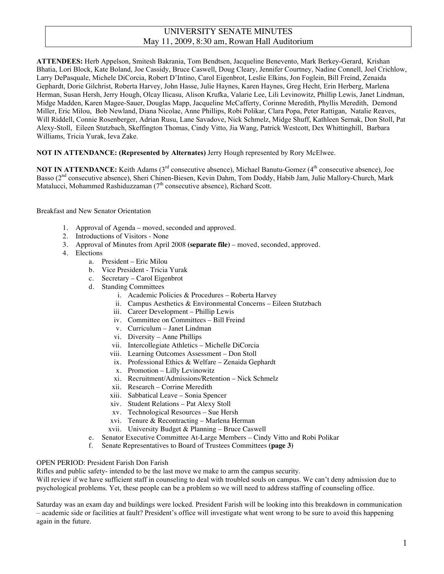## UNIVERSITY SENATE MINUTES May 11, 2009, 8:30 am, Rowan Hall Auditorium

**ATTENDEES:** Herb Appelson, Smitesh Bakrania, Tom Bendtsen, Jacqueline Benevento, Mark Berkey-Gerard, Krishan Bhatia, Lori Block, Kate Boland, Joe Cassidy, Bruce Caswell, Doug Cleary, Jennifer Courtney, Nadine Connell, Joel Crichlow, Larry DePasquale, Michele DiCorcia, Robert D'Intino, Carol Eigenbrot, Leslie Elkins, Jon Foglein, Bill Freind, Zenaida Gephardt, Dorie Gilchrist, Roberta Harvey, John Hasse, Julie Haynes, Karen Haynes, Greg Hecht, Erin Herberg, Marlena Herman, Susan Hersh, Jerry Hough, Olcay Ilicasu, Alison Krufka, Valarie Lee, Lili Levinowitz, Phillip Lewis, Janet Lindman, Midge Madden, Karen Magee-Sauer, Douglas Mapp, Jacqueline McCafferty, Corinne Meredith, Phyllis Meredith, Demond Miller, Eric Milou, Bob Newland, Diana Nicolae, Anne Phillips, Robi Polikar, Clara Popa, Peter Rattigan, Natalie Reaves, Will Riddell, Connie Rosenberger, Adrian Rusu, Lane Savadove, Nick Schmelz, Midge Shuff, Kathleen Sernak, Don Stoll, Pat Alexy-Stoll, Eileen Stutzbach, Skeffington Thomas, Cindy Vitto, Jia Wang, Patrick Westcott, Dex Whittinghill, Barbara Williams, Tricia Yurak, Ieva Zake.

#### **NOT IN ATTENDANCE: (Represented by Alternates)** Jerry Hough represented by Rory McElwee.

**NOT IN ATTENDANCE:** Keith Adams (3<sup>rd</sup> consecutive absence), Michael Banutu-Gomez (4<sup>th</sup> consecutive absence), Joe Basso (2<sup>nd</sup> consecutive absence), Sheri Chinen-Biesen, Kevin Dahm, Tom Doddy, Habib Jam, Julie Mallory-Church, Mark Matalucci, Mohammed Rashiduzzaman  $(7<sup>th</sup>$  consecutive absence), Richard Scott.

#### Breakfast and New Senator Orientation

- 1. Approval of Agenda moved, seconded and approved.
- 2. Introductions of Visitors None
- 3. Approval of Minutes from April 2008 **(separate file)** moved, seconded, approved.
- 4. Elections
	- a. President Eric Milou
	- b. Vice President Tricia Yurak
	- c. Secretary Carol Eigenbrot
	- d. Standing Committees
		- i. Academic Policies & Procedures Roberta Harvey
		- ii. Campus Aesthetics & Environmental Concerns Eileen Stutzbach
		- iii. Career Development Phillip Lewis
		- iv. Committee on Committees Bill Freind
		- v. Curriculum Janet Lindman
		- vi. Diversity Anne Phillips
		- vii. Intercollegiate Athletics Michelle DiCorcia
		- viii. Learning Outcomes Assessment Don Stoll
		- ix. Professional Ethics & Welfare Zenaida Gephardt
		- x. Promotion Lilly Levinowitz
		- xi. Recruitment/Admissions/Retention Nick Schmelz
		- xii. Research Corrine Meredith
		- xiii. Sabbatical Leave Sonia Spencer
		- xiv. Student Relations Pat Alexy Stoll
		- xv. Technological Resources Sue Hersh
		- xvi. Tenure & Recontracting Marlena Herman
		- xvii. University Budget & Planning Bruce Caswell
	- e. Senator Executive Committee At-Large Members Cindy Vitto and Robi Polikar
	- f. Senate Representatives to Board of Trustees Committees **(page 3)**

#### OPEN PERIOD: President Farish Don Farish

Rifles and public safety- intended to be the last move we make to arm the campus security.

Will review if we have sufficient staff in counseling to deal with troubled souls on campus. We can't deny admission due to psychological problems. Yet, these people can be a problem so we will need to address staffing of counseling office.

Saturday was an exam day and buildings were locked. President Farish will be looking into this breakdown in communication – academic side or facilities at fault? President's office will investigate what went wrong to be sure to avoid this happening again in the future.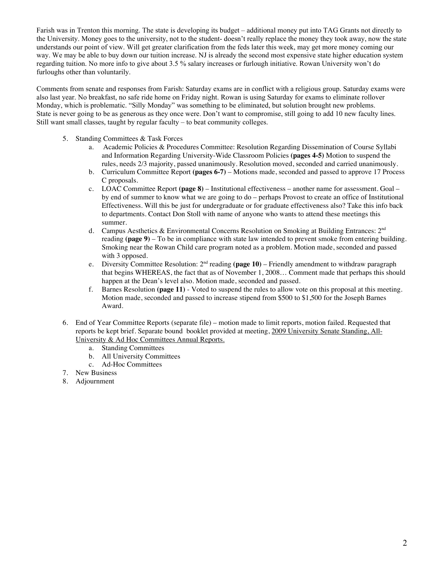Farish was in Trenton this morning. The state is developing its budget – additional money put into TAG Grants not directly to the University. Money goes to the university, not to the student- doesn't really replace the money they took away, now the state understands our point of view. Will get greater clarification from the feds later this week, may get more money coming our way. We may be able to buy down our tuition increase. NJ is already the second most expensive state higher education system regarding tuition. No more info to give about 3.5 % salary increases or furlough initiative. Rowan University won't do furloughs other than voluntarily.

Comments from senate and responses from Farish: Saturday exams are in conflict with a religious group. Saturday exams were also last year. No breakfast, no safe ride home on Friday night. Rowan is using Saturday for exams to eliminate rollover Monday, which is problematic. "Silly Monday" was something to be eliminated, but solution brought new problems. State is never going to be as generous as they once were. Don't want to compromise, still going to add 10 new faculty lines. Still want small classes, taught by regular faculty – to beat community colleges.

- 5. Standing Committees & Task Forces
	- a. Academic Policies & Procedures Committee: Resolution Regarding Dissemination of Course Syllabi and Information Regarding University-Wide Classroom Policies **(pages 4-5)** Motion to suspend the rules, needs 2/3 majority, passed unanimously. Resolution moved, seconded and carried unanimously.
	- b. Curriculum Committee Report **(pages 6-7)** Motions made, seconded and passed to approve 17 Process C proposals.
	- c. LOAC Committee Report **(page 8)** Institutional effectiveness another name for assessment. Goal by end of summer to know what we are going to do – perhaps Provost to create an office of Institutional Effectiveness. Will this be just for undergraduate or for graduate effectiveness also? Take this info back to departments. Contact Don Stoll with name of anyone who wants to attend these meetings this summer.
	- d. Campus Aesthetics & Environmental Concerns Resolution on Smoking at Building Entrances: 2nd reading **(page 9)** – To be in compliance with state law intended to prevent smoke from entering building. Smoking near the Rowan Child care program noted as a problem. Motion made, seconded and passed with 3 opposed.
	- e. Diversity Committee Resolution: 2nd reading **(page 10)** Friendly amendment to withdraw paragraph that begins WHEREAS, the fact that as of November 1, 2008… Comment made that perhaps this should happen at the Dean's level also. Motion made, seconded and passed.
	- f. Barnes Resolution **(page 11)** Voted to suspend the rules to allow vote on this proposal at this meeting. Motion made, seconded and passed to increase stipend from \$500 to \$1,500 for the Joseph Barnes Award.
- 6. End of Year Committee Reports (separate file) motion made to limit reports, motion failed. Requested that reports be kept brief. Separate bound booklet provided at meeting, 2009 University Senate Standing, All-University & Ad Hoc Committees Annual Reports.
	- a. Standing Committees
	- b. All University Committees
	- c. Ad-Hoc Committees
- 7. New Business
- 8. Adjournment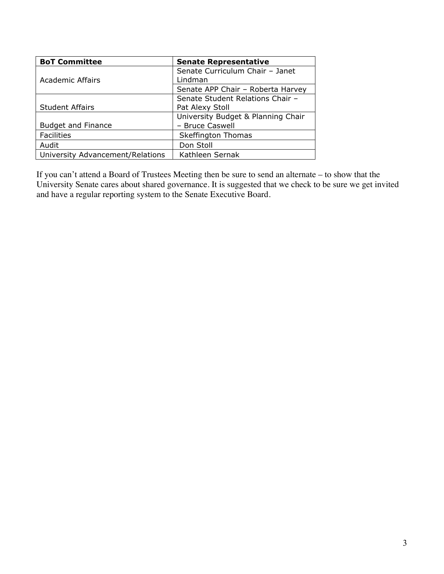| <b>BoT Committee</b>             | <b>Senate Representative</b>       |
|----------------------------------|------------------------------------|
|                                  | Senate Curriculum Chair - Janet    |
| <b>Academic Affairs</b>          | Lindman                            |
|                                  | Senate APP Chair - Roberta Harvey  |
|                                  | Senate Student Relations Chair -   |
| <b>Student Affairs</b>           | Pat Alexy Stoll                    |
|                                  | University Budget & Planning Chair |
| <b>Budget and Finance</b>        | - Bruce Caswell                    |
| <b>Facilities</b>                | <b>Skeffington Thomas</b>          |
| Audit                            | Don Stoll                          |
| University Advancement/Relations | Kathleen Sernak                    |

If you can't attend a Board of Trustees Meeting then be sure to send an alternate – to show that the University Senate cares about shared governance. It is suggested that we check to be sure we get invited and have a regular reporting system to the Senate Executive Board.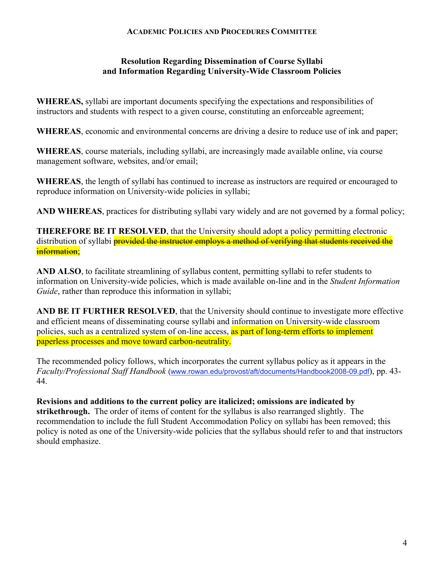## **ACADEMIC POLICIES AND PROCEDURES COMMITTEE**

# **Resolution Regarding Dissemination of Course Syllabi and Information Regarding University-Wide Classroom Policies**

**WHEREAS,** syllabi are important documents specifying the expectations and responsibilities of instructors and students with respect to a given course, constituting an enforceable agreement;

**WHEREAS**, economic and environmental concerns are driving a desire to reduce use of ink and paper;

**WHEREAS**, course materials, including syllabi, are increasingly made available online, via course management software, websites, and/or email;

**WHEREAS**, the length of syllabi has continued to increase as instructors are required or encouraged to reproduce information on University-wide policies in syllabi;

**AND WHEREAS**, practices for distributing syllabi vary widely and are not governed by a formal policy;

**THEREFORE BE IT RESOLVED**, that the University should adopt a policy permitting electronic distribution of syllabi **provided the instructor employs a method of verifying that students received the** information;

**AND ALSO**, to facilitate streamlining of syllabus content, permitting syllabi to refer students to information on University-wide policies, which is made available on-line and in the *Student Information Guide*, rather than reproduce this information in syllabi;

**AND BE IT FURTHER RESOLVED**, that the University should continue to investigate more effective and efficient means of disseminating course syllabi and information on University-wide classroom policies, such as a centralized system of on-line access, as part of long-term efforts to implement paperless processes and move toward carbon-neutrality.

The recommended policy follows, which incorporates the current syllabus policy as it appears in the *Faculty/Professional Staff Handbook* (www.rowan.edu/provost/aft/documents/Handbook2008-09.pdf), pp. 43- 44.

**Revisions and additions to the current policy are italicized; omissions are indicated by strikethrough.** The order of items of content for the syllabus is also rearranged slightly. The recommendation to include the full Student Accommodation Policy on syllabi has been removed; this policy is noted as one of the University-wide policies that the syllabus should refer to and that instructors should emphasize.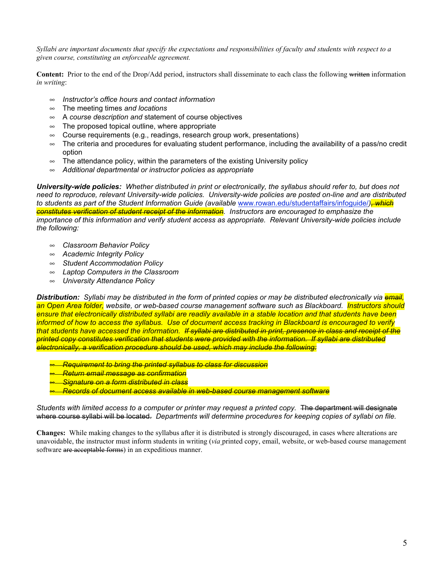*Syllabi are important documents that specify the expectations and responsibilities of faculty and students with respect to a given course, constituting an enforceable agreement.* 

**Content:** Prior to the end of the Drop/Add period, instructors shall disseminate to each class the following written information *in writing*:

- *Instructor's office hours and contact information*
- The meeting times *and locations*
- A *course description and* statement of course objectives
- $\infty$  The proposed topical outline, where appropriate
- $\infty$  Course requirements (e.g., readings, research group work, presentations)
- $\sim$  The criteria and procedures for evaluating student performance, including the availability of a pass/no credit option
- $\infty$  The attendance policy, within the parameters of the existing University policy
- *Additional departmental or instructor policies as appropriate*

*University-wide policies: Whether distributed in print or electronically, the syllabus should refer to, but does not need to reproduce, relevant University-wide policies. University-wide policies are posted on-line and are distributed to students as part of the Student Information Guide (available* www.rowan.edu/studentaffairs/infoguide/*), which constitutes verification of student receipt of the information. Instructors are encouraged to emphasize the importance of this information and verify student access as appropriate. Relevant University-wide policies include the following:*

- *Classroom Behavior Policy*
- *Academic Integrity Policy*
- *Student Accommodation Policy*
- *Laptop Computers in the Classroom*
- *University Attendance Policy*

*Distribution: Syllabi may be distributed in the form of printed copies or may be distributed electronically via email, an Open Area folder, website, or web-based course management software such as Blackboard. Instructors should ensure that electronically distributed syllabi are readily available in a stable location and that students have been informed of how to access the syllabus. Use of document access tracking in Blackboard is encouraged to verify that students have accessed the information. If syllabi are distributed in print, presence in class and receipt of the printed copy constitutes verification that students were provided with the information. If syllabi are distributed electronically, a verification procedure should be used, which may include the following:*

- *Requirement to bring the printed syllabus to class for discussion*
- *Return email message as confirmation*
- *Signature on a form distributed in class*
- *Records of document access available in web-based course management software*

*Students with limited access to a computer or printer may request a printed copy.* The department will designate where course syllabi will be located. *Departments will determine procedures for keeping copies of syllabi on file.*

**Changes:** While making changes to the syllabus after it is distributed is strongly discouraged, in cases where alterations are unavoidable, the instructor must inform students in writing (*via* printed copy, email, website, or web-based course management software are acceptable forms) in an expeditious manner.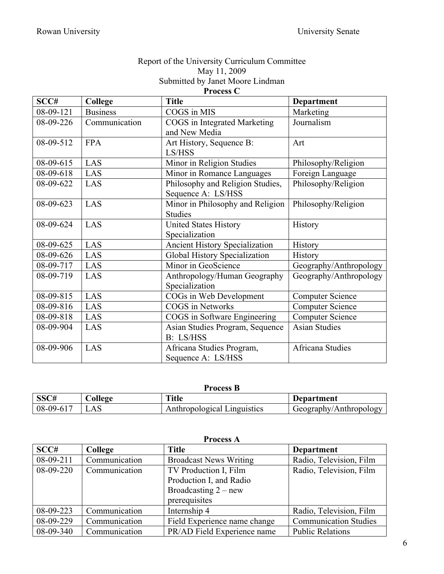## Report of the University Curriculum Committee May 11, 2009 Submitted by Janet Moore Lindman

**Process C**

| SCC#      | College         | <b>Title</b>                          | <b>Department</b>       |
|-----------|-----------------|---------------------------------------|-------------------------|
| 08-09-121 | <b>Business</b> | COGS in MIS                           | Marketing               |
| 08-09-226 | Communication   | COGS in Integrated Marketing          | Journalism              |
|           |                 | and New Media                         |                         |
| 08-09-512 | <b>FPA</b>      | Art History, Sequence B:              | Art                     |
|           |                 | LS/HSS                                |                         |
| 08-09-615 | LAS             | Minor in Religion Studies             | Philosophy/Religion     |
| 08-09-618 | LAS             | Minor in Romance Languages            | Foreign Language        |
| 08-09-622 | LAS             | Philosophy and Religion Studies,      | Philosophy/Religion     |
|           |                 | Sequence A: LS/HSS                    |                         |
| 08-09-623 | LAS             | Minor in Philosophy and Religion      | Philosophy/Religion     |
|           |                 | <b>Studies</b>                        |                         |
| 08-09-624 | LAS             | <b>United States History</b>          | History                 |
|           |                 | Specialization                        |                         |
| 08-09-625 | LAS             | <b>Ancient History Specialization</b> | History                 |
| 08-09-626 | LAS             | Global History Specialization         | History                 |
| 08-09-717 | LAS             | Minor in GeoScience                   | Geography/Anthropology  |
| 08-09-719 | LAS             | Anthropology/Human Geography          | Geography/Anthropology  |
|           |                 | Specialization                        |                         |
| 08-09-815 | LAS             | COGs in Web Development               | <b>Computer Science</b> |
| 08-09-816 | LAS             | <b>COGS</b> in Networks               | <b>Computer Science</b> |
| 08-09-818 | LAS             | COGS in Software Engineering          | <b>Computer Science</b> |
| 08-09-904 | LAS             | Asian Studies Program, Sequence       | <b>Asian Studies</b>    |
|           |                 | B: LS/HSS                             |                         |
| 08-09-906 | LAS             | Africana Studies Program,             | Africana Studies        |
|           |                 | Sequence A: LS/HSS                    |                         |

# **Process B**

| תר הם       | ollege          | <b>Title</b>                | Department             |
|-------------|-----------------|-----------------------------|------------------------|
| $08-09-617$ | $\Delta \Delta$ | Anthropological Linguistics | Geography/Anthropology |

| <b>Process A</b> |               |                               |                              |
|------------------|---------------|-------------------------------|------------------------------|
| SCC#             | College       | <b>Title</b>                  | <b>Department</b>            |
| $08-09-211$      | Communication | <b>Broadcast News Writing</b> | Radio, Television, Film      |
| 08-09-220        | Communication | TV Production I, Film         | Radio, Television, Film      |
|                  |               | Production I, and Radio       |                              |
|                  |               | Broadcasting $2 - new$        |                              |
|                  |               | prerequisites                 |                              |
| 08-09-223        | Communication | Internship 4                  | Radio, Television, Film      |
| 08-09-229        | Communication | Field Experience name change  | <b>Communication Studies</b> |
| 08-09-340        | Communication | PR/AD Field Experience name   | <b>Public Relations</b>      |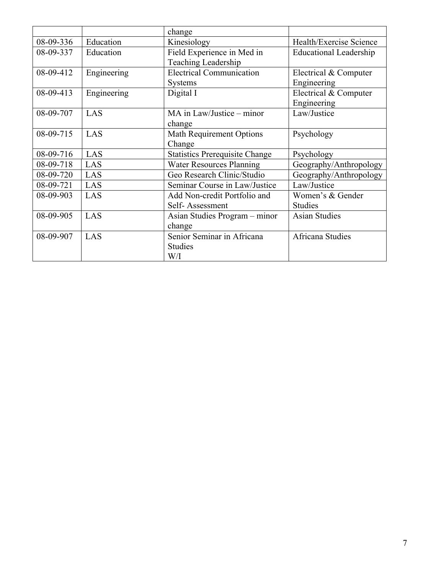|           |             | change                                |                               |
|-----------|-------------|---------------------------------------|-------------------------------|
| 08-09-336 | Education   | Kinesiology                           | Health/Exercise Science       |
| 08-09-337 | Education   | Field Experience in Med in            | <b>Educational Leadership</b> |
|           |             | Teaching Leadership                   |                               |
| 08-09-412 | Engineering | <b>Electrical Communication</b>       | Electrical & Computer         |
|           |             | <b>Systems</b>                        | Engineering                   |
| 08-09-413 | Engineering | Digital I                             | Electrical & Computer         |
|           |             |                                       | Engineering                   |
| 08-09-707 | LAS         | MA in Law/Justice – minor             | Law/Justice                   |
|           |             | change                                |                               |
| 08-09-715 | LAS         | <b>Math Requirement Options</b>       | Psychology                    |
|           |             | Change                                |                               |
| 08-09-716 | LAS         | <b>Statistics Prerequisite Change</b> | Psychology                    |
| 08-09-718 | LAS         | <b>Water Resources Planning</b>       | Geography/Anthropology        |
| 08-09-720 | LAS         | Geo Research Clinic/Studio            | Geography/Anthropology        |
| 08-09-721 | LAS         | Seminar Course in Law/Justice         | Law/Justice                   |
| 08-09-903 | LAS         | Add Non-credit Portfolio and          | Women's & Gender              |
|           |             | Self-Assessment                       | <b>Studies</b>                |
| 08-09-905 | LAS         | Asian Studies Program - minor         | <b>Asian Studies</b>          |
|           |             | change                                |                               |
| 08-09-907 | LAS         | Senior Seminar in Africana            | <b>Africana Studies</b>       |
|           |             | Studies                               |                               |
|           |             | W/I                                   |                               |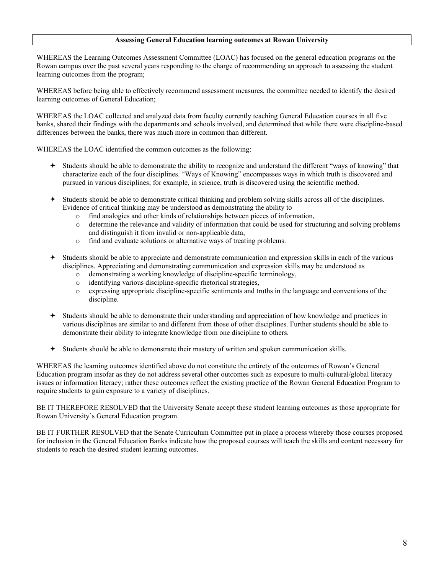#### **Assessing General Education learning outcomes at Rowan University**

WHEREAS the Learning Outcomes Assessment Committee (LOAC) has focused on the general education programs on the Rowan campus over the past several years responding to the charge of recommending an approach to assessing the student learning outcomes from the program;

WHEREAS before being able to effectively recommend assessment measures, the committee needed to identify the desired learning outcomes of General Education;

WHEREAS the LOAC collected and analyzed data from faculty currently teaching General Education courses in all five banks, shared their findings with the departments and schools involved, and determined that while there were discipline-based differences between the banks, there was much more in common than different.

WHEREAS the LOAC identified the common outcomes as the following:

- Students should be able to demonstrate the ability to recognize and understand the different "ways of knowing" that characterize each of the four disciplines. "Ways of Knowing" encompasses ways in which truth is discovered and pursued in various disciplines; for example, in science, truth is discovered using the scientific method.
- Students should be able to demonstrate critical thinking and problem solving skills across all of the disciplines. Evidence of critical thinking may be understood as demonstrating the ability to
	- o find analogies and other kinds of relationships between pieces of information,
	- o determine the relevance and validity of information that could be used for structuring and solving problems and distinguish it from invalid or non-applicable data,
	- o find and evaluate solutions or alternative ways of treating problems.
- Students should be able to appreciate and demonstrate communication and expression skills in each of the various disciplines. Appreciating and demonstrating communication and expression skills may be understood as
	- o demonstrating a working knowledge of discipline-specific terminology,
	- o identifying various discipline-specific rhetorical strategies,
	- o expressing appropriate discipline-specific sentiments and truths in the language and conventions of the discipline.
- Students should be able to demonstrate their understanding and appreciation of how knowledge and practices in various disciplines are similar to and different from those of other disciplines. Further students should be able to demonstrate their ability to integrate knowledge from one discipline to others.
- Students should be able to demonstrate their mastery of written and spoken communication skills.

WHEREAS the learning outcomes identified above do not constitute the entirety of the outcomes of Rowan's General Education program insofar as they do not address several other outcomes such as exposure to multi-cultural/global literacy issues or information literacy; rather these outcomes reflect the existing practice of the Rowan General Education Program to require students to gain exposure to a variety of disciplines.

BE IT THEREFORE RESOLVED that the University Senate accept these student learning outcomes as those appropriate for Rowan University's General Education program.

BE IT FURTHER RESOLVED that the Senate Curriculum Committee put in place a process whereby those courses proposed for inclusion in the General Education Banks indicate how the proposed courses will teach the skills and content necessary for students to reach the desired student learning outcomes.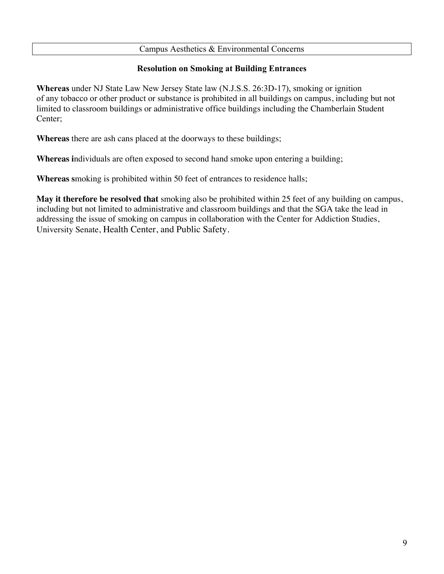### Campus Aesthetics & Environmental Concerns

## **Resolution on Smoking at Building Entrances**

**Whereas** under NJ State Law New Jersey State law (N.J.S.S. 26:3D-17), smoking or ignition of any tobacco or other product or substance is prohibited in all buildings on campus, including but not limited to classroom buildings or administrative office buildings including the Chamberlain Student Center;

**Whereas** there are ash cans placed at the doorways to these buildings;

**Whereas i**ndividuals are often exposed to second hand smoke upon entering a building;

**Whereas s**moking is prohibited within 50 feet of entrances to residence halls;

**May it therefore be resolved that** smoking also be prohibited within 25 feet of any building on campus, including but not limited to administrative and classroom buildings and that the SGA take the lead in addressing the issue of smoking on campus in collaboration with the Center for Addiction Studies, University Senate, Health Center, and Public Safety.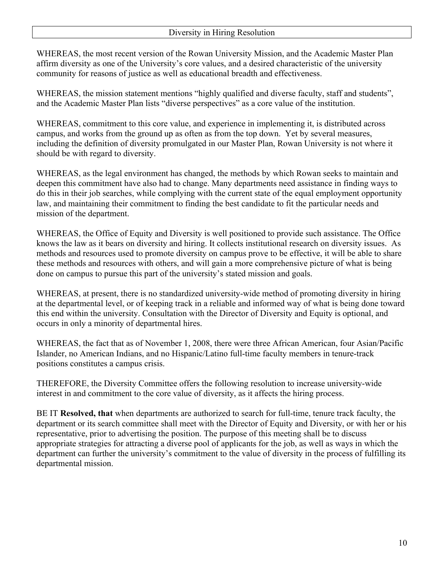WHEREAS, the most recent version of the Rowan University Mission, and the Academic Master Plan affirm diversity as one of the University's core values, and a desired characteristic of the university community for reasons of justice as well as educational breadth and effectiveness.

WHEREAS, the mission statement mentions "highly qualified and diverse faculty, staff and students", and the Academic Master Plan lists "diverse perspectives" as a core value of the institution.

WHEREAS, commitment to this core value, and experience in implementing it, is distributed across campus, and works from the ground up as often as from the top down. Yet by several measures, including the definition of diversity promulgated in our Master Plan, Rowan University is not where it should be with regard to diversity.

WHEREAS, as the legal environment has changed, the methods by which Rowan seeks to maintain and deepen this commitment have also had to change. Many departments need assistance in finding ways to do this in their job searches, while complying with the current state of the equal employment opportunity law, and maintaining their commitment to finding the best candidate to fit the particular needs and mission of the department.

WHEREAS, the Office of Equity and Diversity is well positioned to provide such assistance. The Office knows the law as it bears on diversity and hiring. It collects institutional research on diversity issues. As methods and resources used to promote diversity on campus prove to be effective, it will be able to share these methods and resources with others, and will gain a more comprehensive picture of what is being done on campus to pursue this part of the university's stated mission and goals.

WHEREAS, at present, there is no standardized university-wide method of promoting diversity in hiring at the departmental level, or of keeping track in a reliable and informed way of what is being done toward this end within the university. Consultation with the Director of Diversity and Equity is optional, and occurs in only a minority of departmental hires.

WHEREAS, the fact that as of November 1, 2008, there were three African American, four Asian/Pacific Islander, no American Indians, and no Hispanic/Latino full-time faculty members in tenure-track positions constitutes a campus crisis.

THEREFORE, the Diversity Committee offers the following resolution to increase university-wide interest in and commitment to the core value of diversity, as it affects the hiring process.

BE IT **Resolved, that** when departments are authorized to search for full-time, tenure track faculty, the department or its search committee shall meet with the Director of Equity and Diversity, or with her or his representative, prior to advertising the position. The purpose of this meeting shall be to discuss appropriate strategies for attracting a diverse pool of applicants for the job, as well as ways in which the department can further the university's commitment to the value of diversity in the process of fulfilling its departmental mission.